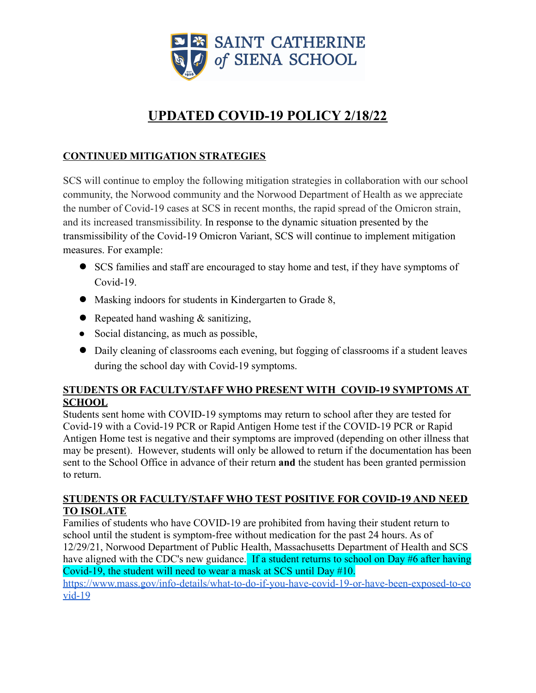

# **UPDATED COVID-19 POLICY 2/18/22**

# **CONTINUED MITIGATION STRATEGIES**

SCS will continue to employ the following mitigation strategies in collaboration with our school community, the Norwood community and the Norwood Department of Health as we appreciate the number of Covid-19 cases at SCS in recent months, the rapid spread of the Omicron strain, and its increased transmissibility. In response to the dynamic situation presented by the transmissibility of the Covid-19 Omicron Variant, SCS will continue to implement mitigation measures. For example:

- SCS families and staff are encouraged to stay home and test, if they have symptoms of Covid-19.
- Masking indoors for students in Kindergarten to Grade 8,
- Repeated hand washing  $&$  sanitizing,
- Social distancing, as much as possible,
- Daily cleaning of classrooms each evening, but fogging of classrooms if a student leaves during the school day with Covid-19 symptoms.

# **STUDENTS OR FACULTY/STAFF WHO PRESENT WITH COVID-19 SYMPTOMS AT SCHOOL**

Students sent home with COVID-19 symptoms may return to school after they are tested for Covid-19 with a Covid-19 PCR or Rapid Antigen Home test if the COVID-19 PCR or Rapid Antigen Home test is negative and their symptoms are improved (depending on other illness that may be present). However, students will only be allowed to return if the documentation has been sent to the School Office in advance of their return **and** the student has been granted permission to return.

# **STUDENTS OR FACULTY/STAFF WHO TEST POSITIVE FOR COVID-19 AND NEED TO ISOLATE**

Families of students who have COVID-19 are prohibited from having their student return to school until the student is symptom-free without medication for the past 24 hours. As of 12/29/21, Norwood Department of Public Health, Massachusetts Department of Health and SCS have aligned with the CDC's new guidance. If a student returns to school on Day #6 after having Covid-19, the student will need to wear a mask at SCS until Day #10. [https://www.mass.gov/info-details/what-to-do-if-you-have-covid-19-or-have-been-exposed-to-co](https://www.mass.gov/info-details/what-to-do-if-you-have-covid-19-or-have-been-exposed-to-covid-19)

[vid-19](https://www.mass.gov/info-details/what-to-do-if-you-have-covid-19-or-have-been-exposed-to-covid-19)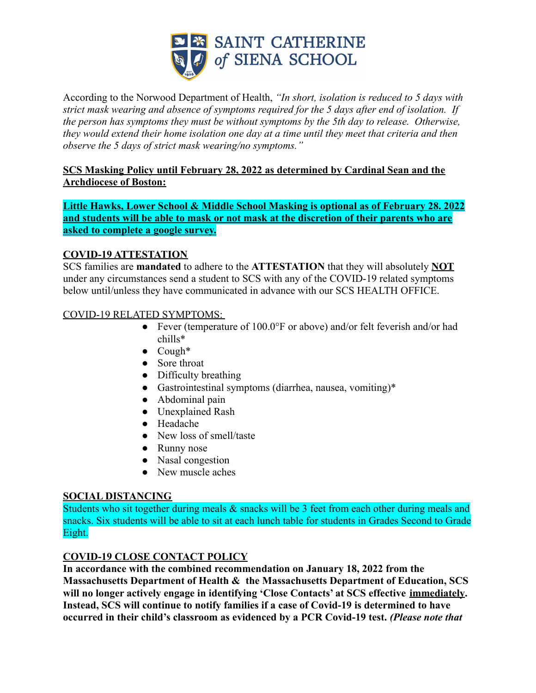

According to the Norwood Department of Health, *"In short, isolation is reduced to 5 days with strict mask wearing and absence of symptoms required for the 5 days after end of isolation. If the person has symptoms they must be without symptoms by the 5th day to release. Otherwise, they would extend their home isolation one day at a time until they meet that criteria and then observe the 5 days of strict mask wearing/no symptoms."*

#### **SCS Masking Policy until February 28, 2022 as determined by Cardinal Sean and the Archdiocese of Boston:**

**Little Hawks, Lower School & Middle School Masking is optional as of February 28. 2022 and students will be able to mask or not mask at the discretion of their parents who are asked to complete a google survey.**

# **COVID-19 ATTESTATION**

SCS families are **mandated** to adhere to the **ATTESTATION** that they will absolutely **NOT** under any circumstances send a student to SCS with any of the COVID-19 related symptoms below until/unless they have communicated in advance with our SCS HEALTH OFFICE.

# COVID-19 RELATED SYMPTOMS:

- Fever (temperature of 100.0°F or above) and/or felt feverish and/or had chills\*
- $\bullet$  Cough\*
- Sore throat
- Difficulty breathing
- Gastrointestinal symptoms (diarrhea, nausea, vomiting)\*
- Abdominal pain
- Unexplained Rash
- Headache
- New loss of smell/taste
- Runny nose
- Nasal congestion
- New muscle aches

#### **SOCIAL DISTANCING**

Students who sit together during meals  $\&$  snacks will be 3 feet from each other during meals and snacks. Six students will be able to sit at each lunch table for students in Grades Second to Grade Eight.

# **COVID-19 CLOSE CONTACT POLICY**

**In accordance with the combined recommendation on January 18, 2022 from the Massachusetts Department of Health & the Massachusetts Department of Education, SCS will no longer actively engage in identifying 'Close Contacts' at SCS effective immediately. Instead, SCS will continue to notify families if a case of Covid-19 is determined to have occurred in their child's classroom as evidenced by a PCR Covid-19 test.** *(Please note that*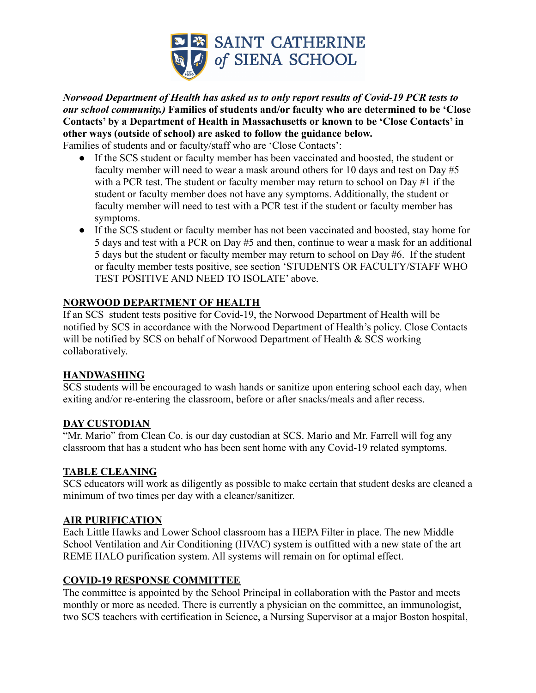

*Norwood Department of Health has asked us to only report results of Covid-19 PCR tests to our school community.)* **Families of students and/or faculty who are determined to be 'Close Contacts' by a Department of Health in Massachusetts or known to be 'Close Contacts' in other ways (outside of school) are asked to follow the guidance below.**

Families of students and or faculty/staff who are 'Close Contacts':

- If the SCS student or faculty member has been vaccinated and boosted, the student or faculty member will need to wear a mask around others for 10 days and test on Day #5 with a PCR test. The student or faculty member may return to school on Day #1 if the student or faculty member does not have any symptoms. Additionally, the student or faculty member will need to test with a PCR test if the student or faculty member has symptoms.
- If the SCS student or faculty member has not been vaccinated and boosted, stay home for 5 days and test with a PCR on Day #5 and then, continue to wear a mask for an additional 5 days but the student or faculty member may return to school on Day #6. If the student or faculty member tests positive, see section 'STUDENTS OR FACULTY/STAFF WHO TEST POSITIVE AND NEED TO ISOLATE' above.

#### **NORWOOD DEPARTMENT OF HEALTH**

If an SCS student tests positive for Covid-19, the Norwood Department of Health will be notified by SCS in accordance with the Norwood Department of Health's policy. Close Contacts will be notified by SCS on behalf of Norwood Department of Health & SCS working collaboratively.

#### **HANDWASHING**

SCS students will be encouraged to wash hands or sanitize upon entering school each day, when exiting and/or re-entering the classroom, before or after snacks/meals and after recess.

#### **DAY CUSTODIAN**

"Mr. Mario" from Clean Co. is our day custodian at SCS. Mario and Mr. Farrell will fog any classroom that has a student who has been sent home with any Covid-19 related symptoms.

#### **TABLE CLEANING**

SCS educators will work as diligently as possible to make certain that student desks are cleaned a minimum of two times per day with a cleaner/sanitizer.

#### **AIR PURIFICATION**

Each Little Hawks and Lower School classroom has a HEPA Filter in place. The new Middle School Ventilation and Air Conditioning (HVAC) system is outfitted with a new state of the art REME HALO purification system. All systems will remain on for optimal effect.

# **COVID-19 RESPONSE COMMITTEE**

The committee is appointed by the School Principal in collaboration with the Pastor and meets monthly or more as needed. There is currently a physician on the committee, an immunologist, two SCS teachers with certification in Science, a Nursing Supervisor at a major Boston hospital,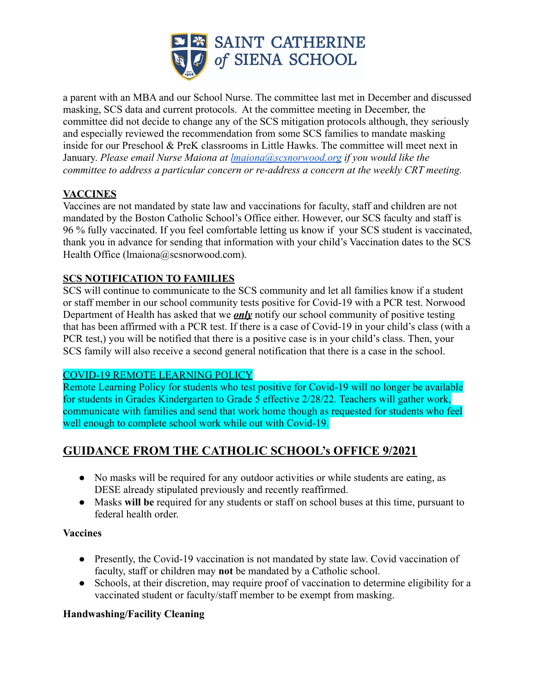

a parent with an MBA and our School Nurse. The committee last met in December and discussed masking, SCS data and current protocols. At the committee meeting in December, the committee did not decide to change any of the SCS mitigation protocols although, they seriously and especially reviewed the recommendation from some SCS families to mandate masking inside for our Preschool & PreK classrooms in Little Hawks. The committee will meet next in January. *Please email Nurse Maiona at [lmaiona@scsnorwood.org](mailto:lmaiona@scsnorwood.org) if you would like the committee to address a particular concern or re-address a concern at the weekly CRT meeting.*

#### **VACCINES**

Vaccines are not mandated by state law and vaccinations for faculty, staff and children are not mandated by the Boston Catholic School's Office either. However, our SCS faculty and staff is 96 % fully vaccinated. If you feel comfortable letting us know if your SCS student is vaccinated, thank you in advance for sending that information with your child's Vaccination dates to the SCS Health Office (lmaiona@scsnorwood.com).

# **SCS NOTIFICATION TO FAMILIES**

SCS will continue to communicate to the SCS community and let all families know if a student or staff member in our school community tests positive for Covid-19 with a PCR test. Norwood Department of Health has asked that we *only* notify our school community of positive testing that has been affirmed with a PCR test. If there is a case of Covid-19 in your child's class (with a PCR test,) you will be notified that there is a positive case is in your child's class. Then, your SCS family will also receive a second general notification that there is a case in the school.

#### COVID-19 REMOTE LEARNING POLICY

Remote Learning Policy for students who test positive for Covid-19 will no longer be available for students in Grades Kindergarten to Grade 5 effective 2/28/22. Teachers will gather work, communicate with families and send that work home though as requested for students who feel well enough to complete school work while out with Covid-19.

# **GUIDANCE FROM THE CATHOLIC SCHOOL's OFFICE 9/2021**

- No masks will be required for any outdoor activities or while students are eating, as DESE already stipulated previously and recently reaffirmed.
- Masks **will be** required for any students or staff on school buses at this time, pursuant to federal health order.

#### **Vaccines**

- Presently, the Covid-19 vaccination is not mandated by state law. Covid vaccination of faculty, staff or children may **not** be mandated by a Catholic school.
- Schools, at their discretion, may require proof of vaccination to determine eligibility for a vaccinated student or faculty/staff member to be exempt from masking.

#### **Handwashing/Facility Cleaning**